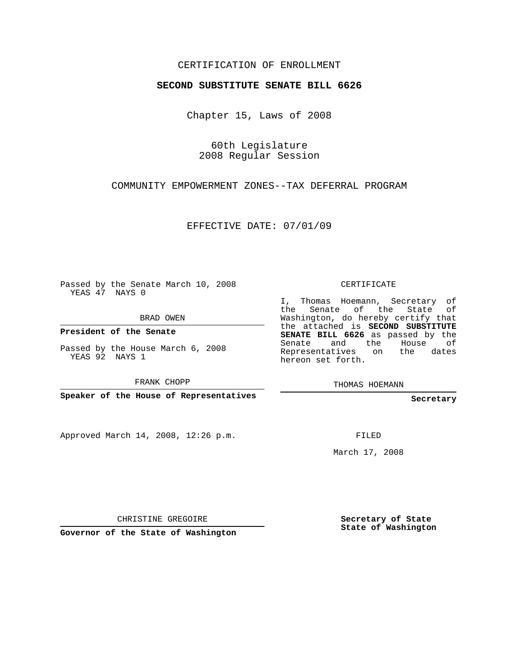## CERTIFICATION OF ENROLLMENT

## **SECOND SUBSTITUTE SENATE BILL 6626**

Chapter 15, Laws of 2008

60th Legislature 2008 Regular Session

COMMUNITY EMPOWERMENT ZONES--TAX DEFERRAL PROGRAM

EFFECTIVE DATE: 07/01/09

Passed by the Senate March 10, 2008 YEAS 47 NAYS 0

BRAD OWEN

**President of the Senate**

Passed by the House March 6, 2008 YEAS 92 NAYS 1

FRANK CHOPP

**Speaker of the House of Representatives**

Approved March 14, 2008, 12:26 p.m.

CERTIFICATE

I, Thomas Hoemann, Secretary of the Senate of the State of Washington, do hereby certify that the attached is **SECOND SUBSTITUTE SENATE BILL 6626** as passed by the Senate and the House of Representatives on the dates hereon set forth.

THOMAS HOEMANN

**Secretary**

FILED

March 17, 2008

CHRISTINE GREGOIRE

**Governor of the State of Washington**

**Secretary of State State of Washington**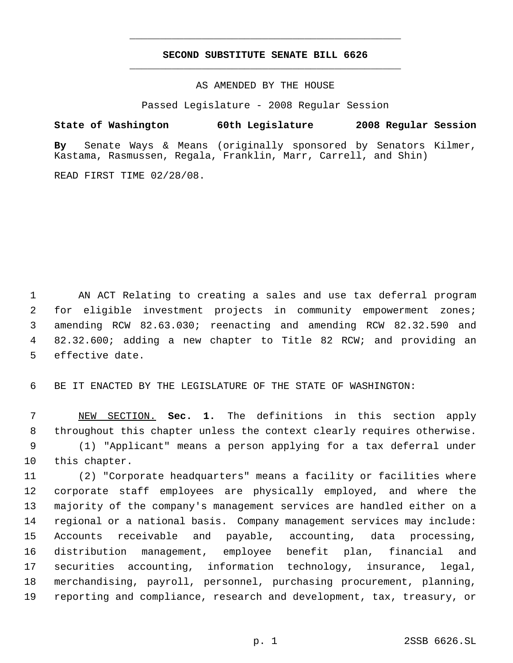## **SECOND SUBSTITUTE SENATE BILL 6626** \_\_\_\_\_\_\_\_\_\_\_\_\_\_\_\_\_\_\_\_\_\_\_\_\_\_\_\_\_\_\_\_\_\_\_\_\_\_\_\_\_\_\_\_\_

\_\_\_\_\_\_\_\_\_\_\_\_\_\_\_\_\_\_\_\_\_\_\_\_\_\_\_\_\_\_\_\_\_\_\_\_\_\_\_\_\_\_\_\_\_

AS AMENDED BY THE HOUSE

Passed Legislature - 2008 Regular Session

**State of Washington 60th Legislature 2008 Regular Session**

**By** Senate Ways & Means (originally sponsored by Senators Kilmer, Kastama, Rasmussen, Regala, Franklin, Marr, Carrell, and Shin)

READ FIRST TIME 02/28/08.

 AN ACT Relating to creating a sales and use tax deferral program for eligible investment projects in community empowerment zones; amending RCW 82.63.030; reenacting and amending RCW 82.32.590 and 82.32.600; adding a new chapter to Title 82 RCW; and providing an effective date.

BE IT ENACTED BY THE LEGISLATURE OF THE STATE OF WASHINGTON:

 NEW SECTION. **Sec. 1.** The definitions in this section apply throughout this chapter unless the context clearly requires otherwise. (1) "Applicant" means a person applying for a tax deferral under this chapter.

 (2) "Corporate headquarters" means a facility or facilities where corporate staff employees are physically employed, and where the majority of the company's management services are handled either on a regional or a national basis. Company management services may include: Accounts receivable and payable, accounting, data processing, distribution management, employee benefit plan, financial and securities accounting, information technology, insurance, legal, merchandising, payroll, personnel, purchasing procurement, planning, reporting and compliance, research and development, tax, treasury, or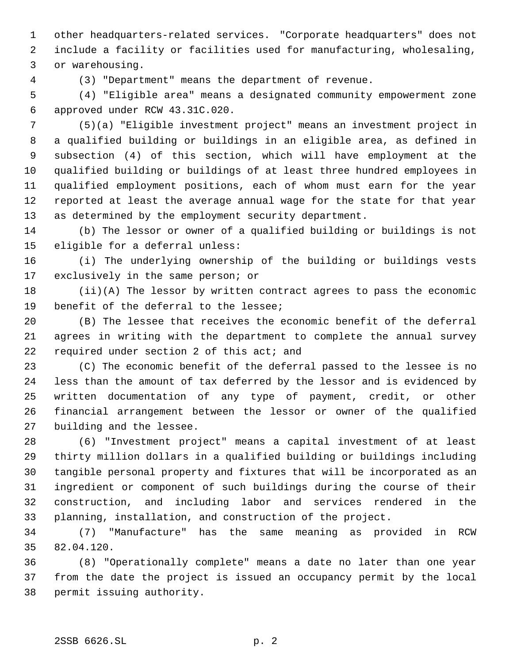other headquarters-related services. "Corporate headquarters" does not include a facility or facilities used for manufacturing, wholesaling, or warehousing.

(3) "Department" means the department of revenue.

 (4) "Eligible area" means a designated community empowerment zone approved under RCW 43.31C.020.

 (5)(a) "Eligible investment project" means an investment project in a qualified building or buildings in an eligible area, as defined in subsection (4) of this section, which will have employment at the qualified building or buildings of at least three hundred employees in qualified employment positions, each of whom must earn for the year reported at least the average annual wage for the state for that year as determined by the employment security department.

 (b) The lessor or owner of a qualified building or buildings is not eligible for a deferral unless:

 (i) The underlying ownership of the building or buildings vests exclusively in the same person; or

 (ii)(A) The lessor by written contract agrees to pass the economic benefit of the deferral to the lessee;

 (B) The lessee that receives the economic benefit of the deferral agrees in writing with the department to complete the annual survey 22 required under section 2 of this act; and

 (C) The economic benefit of the deferral passed to the lessee is no less than the amount of tax deferred by the lessor and is evidenced by written documentation of any type of payment, credit, or other financial arrangement between the lessor or owner of the qualified building and the lessee.

 (6) "Investment project" means a capital investment of at least thirty million dollars in a qualified building or buildings including tangible personal property and fixtures that will be incorporated as an ingredient or component of such buildings during the course of their construction, and including labor and services rendered in the planning, installation, and construction of the project.

 (7) "Manufacture" has the same meaning as provided in RCW 82.04.120.

 (8) "Operationally complete" means a date no later than one year from the date the project is issued an occupancy permit by the local permit issuing authority.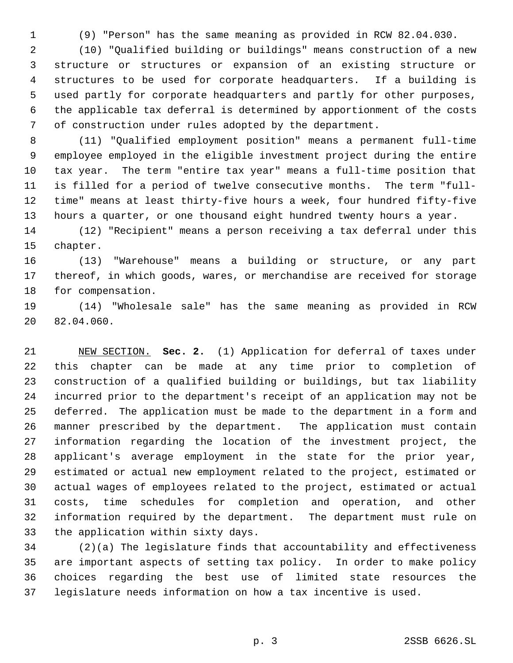(9) "Person" has the same meaning as provided in RCW 82.04.030.

 (10) "Qualified building or buildings" means construction of a new structure or structures or expansion of an existing structure or structures to be used for corporate headquarters. If a building is used partly for corporate headquarters and partly for other purposes, the applicable tax deferral is determined by apportionment of the costs of construction under rules adopted by the department.

 (11) "Qualified employment position" means a permanent full-time employee employed in the eligible investment project during the entire tax year. The term "entire tax year" means a full-time position that is filled for a period of twelve consecutive months. The term "full- time" means at least thirty-five hours a week, four hundred fifty-five hours a quarter, or one thousand eight hundred twenty hours a year.

 (12) "Recipient" means a person receiving a tax deferral under this chapter.

 (13) "Warehouse" means a building or structure, or any part thereof, in which goods, wares, or merchandise are received for storage for compensation.

 (14) "Wholesale sale" has the same meaning as provided in RCW 82.04.060.

 NEW SECTION. **Sec. 2.** (1) Application for deferral of taxes under this chapter can be made at any time prior to completion of construction of a qualified building or buildings, but tax liability incurred prior to the department's receipt of an application may not be deferred. The application must be made to the department in a form and manner prescribed by the department. The application must contain information regarding the location of the investment project, the applicant's average employment in the state for the prior year, estimated or actual new employment related to the project, estimated or actual wages of employees related to the project, estimated or actual costs, time schedules for completion and operation, and other information required by the department. The department must rule on the application within sixty days.

 (2)(a) The legislature finds that accountability and effectiveness are important aspects of setting tax policy. In order to make policy choices regarding the best use of limited state resources the legislature needs information on how a tax incentive is used.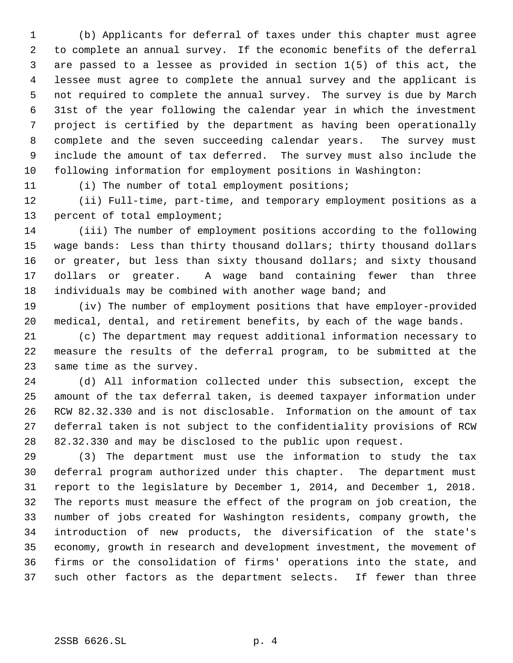(b) Applicants for deferral of taxes under this chapter must agree to complete an annual survey. If the economic benefits of the deferral are passed to a lessee as provided in section 1(5) of this act, the lessee must agree to complete the annual survey and the applicant is not required to complete the annual survey. The survey is due by March 31st of the year following the calendar year in which the investment project is certified by the department as having been operationally complete and the seven succeeding calendar years. The survey must include the amount of tax deferred. The survey must also include the following information for employment positions in Washington:

(i) The number of total employment positions;

 (ii) Full-time, part-time, and temporary employment positions as a percent of total employment;

 (iii) The number of employment positions according to the following wage bands: Less than thirty thousand dollars; thirty thousand dollars or greater, but less than sixty thousand dollars; and sixty thousand dollars or greater. A wage band containing fewer than three individuals may be combined with another wage band; and

 (iv) The number of employment positions that have employer-provided medical, dental, and retirement benefits, by each of the wage bands.

 (c) The department may request additional information necessary to measure the results of the deferral program, to be submitted at the same time as the survey.

 (d) All information collected under this subsection, except the amount of the tax deferral taken, is deemed taxpayer information under RCW 82.32.330 and is not disclosable. Information on the amount of tax deferral taken is not subject to the confidentiality provisions of RCW 82.32.330 and may be disclosed to the public upon request.

 (3) The department must use the information to study the tax deferral program authorized under this chapter. The department must report to the legislature by December 1, 2014, and December 1, 2018. The reports must measure the effect of the program on job creation, the number of jobs created for Washington residents, company growth, the introduction of new products, the diversification of the state's economy, growth in research and development investment, the movement of firms or the consolidation of firms' operations into the state, and such other factors as the department selects. If fewer than three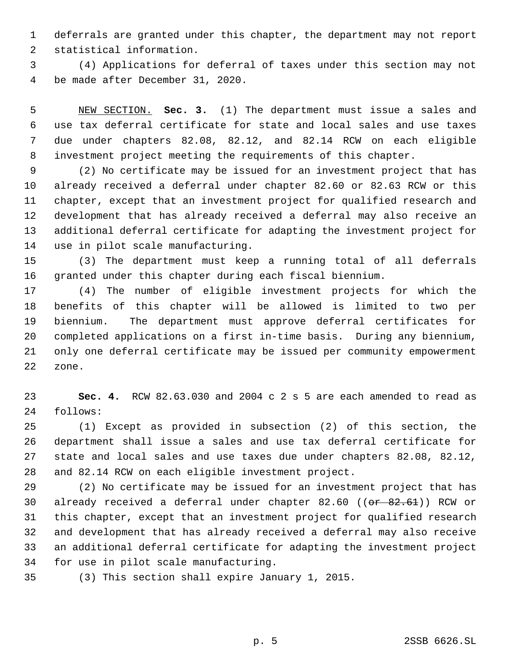deferrals are granted under this chapter, the department may not report statistical information.

 (4) Applications for deferral of taxes under this section may not be made after December 31, 2020.

 NEW SECTION. **Sec. 3.** (1) The department must issue a sales and use tax deferral certificate for state and local sales and use taxes due under chapters 82.08, 82.12, and 82.14 RCW on each eligible investment project meeting the requirements of this chapter.

 (2) No certificate may be issued for an investment project that has already received a deferral under chapter 82.60 or 82.63 RCW or this chapter, except that an investment project for qualified research and development that has already received a deferral may also receive an additional deferral certificate for adapting the investment project for use in pilot scale manufacturing.

 (3) The department must keep a running total of all deferrals granted under this chapter during each fiscal biennium.

 (4) The number of eligible investment projects for which the benefits of this chapter will be allowed is limited to two per biennium. The department must approve deferral certificates for completed applications on a first in-time basis. During any biennium, only one deferral certificate may be issued per community empowerment zone.

 **Sec. 4.** RCW 82.63.030 and 2004 c 2 s 5 are each amended to read as follows:

 (1) Except as provided in subsection (2) of this section, the department shall issue a sales and use tax deferral certificate for state and local sales and use taxes due under chapters 82.08, 82.12, and 82.14 RCW on each eligible investment project.

 (2) No certificate may be issued for an investment project that has 30 already received a deferral under chapter 82.60 ((or 82.61)) RCW or this chapter, except that an investment project for qualified research and development that has already received a deferral may also receive an additional deferral certificate for adapting the investment project for use in pilot scale manufacturing.

(3) This section shall expire January 1, 2015.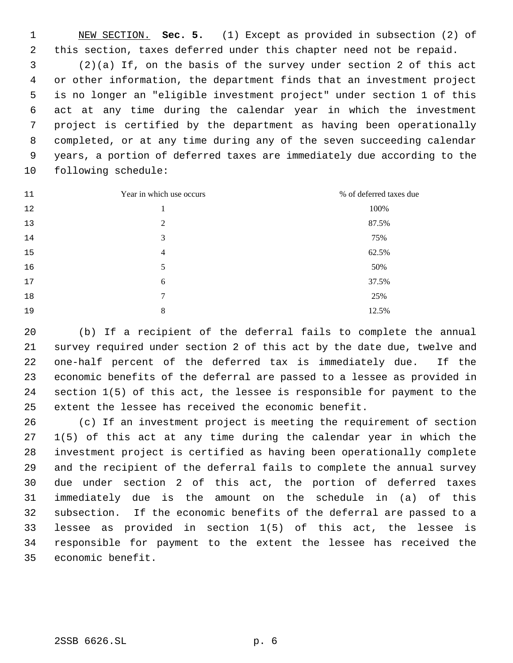NEW SECTION. **Sec. 5.** (1) Except as provided in subsection (2) of this section, taxes deferred under this chapter need not be repaid. (2)(a) If, on the basis of the survey under section 2 of this act or other information, the department finds that an investment project is no longer an "eligible investment project" under section 1 of this act at any time during the calendar year in which the investment project is certified by the department as having been operationally completed, or at any time during any of the seven succeeding calendar years, a portion of deferred taxes are immediately due according to the following schedule:

| 11 | Year in which use occurs | % of deferred taxes due |
|----|--------------------------|-------------------------|
| 12 | 1                        | 100%                    |
| 13 | 2                        | 87.5%                   |
| 14 | 3                        | 75%                     |
| 15 | $\overline{4}$           | 62.5%                   |
| 16 | 5                        | 50%                     |
| 17 | 6                        | 37.5%                   |
| 18 | 7                        | 25%                     |
| 19 | 8                        | 12.5%                   |

 (b) If a recipient of the deferral fails to complete the annual survey required under section 2 of this act by the date due, twelve and one-half percent of the deferred tax is immediately due. If the economic benefits of the deferral are passed to a lessee as provided in section 1(5) of this act, the lessee is responsible for payment to the extent the lessee has received the economic benefit.

 (c) If an investment project is meeting the requirement of section 1(5) of this act at any time during the calendar year in which the investment project is certified as having been operationally complete and the recipient of the deferral fails to complete the annual survey due under section 2 of this act, the portion of deferred taxes immediately due is the amount on the schedule in (a) of this subsection. If the economic benefits of the deferral are passed to a lessee as provided in section 1(5) of this act, the lessee is responsible for payment to the extent the lessee has received the economic benefit.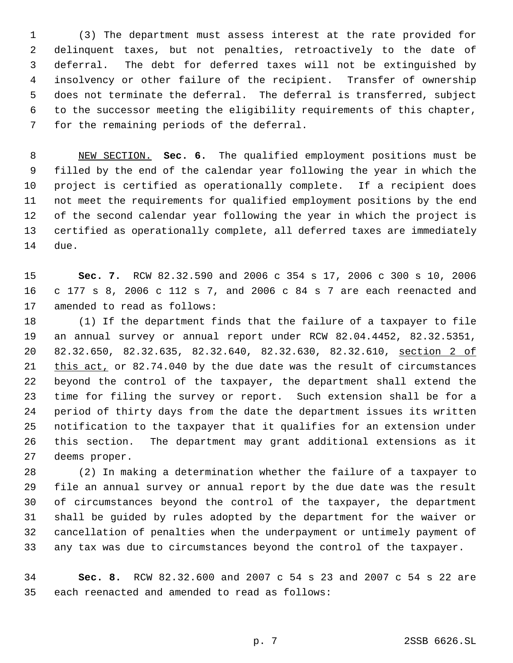(3) The department must assess interest at the rate provided for delinquent taxes, but not penalties, retroactively to the date of deferral. The debt for deferred taxes will not be extinguished by insolvency or other failure of the recipient. Transfer of ownership does not terminate the deferral. The deferral is transferred, subject to the successor meeting the eligibility requirements of this chapter, for the remaining periods of the deferral.

 NEW SECTION. **Sec. 6.** The qualified employment positions must be filled by the end of the calendar year following the year in which the project is certified as operationally complete. If a recipient does not meet the requirements for qualified employment positions by the end of the second calendar year following the year in which the project is certified as operationally complete, all deferred taxes are immediately due.

 **Sec. 7.** RCW 82.32.590 and 2006 c 354 s 17, 2006 c 300 s 10, 2006 c 177 s 8, 2006 c 112 s 7, and 2006 c 84 s 7 are each reenacted and amended to read as follows:

 (1) If the department finds that the failure of a taxpayer to file an annual survey or annual report under RCW 82.04.4452, 82.32.5351, 82.32.650, 82.32.635, 82.32.640, 82.32.630, 82.32.610, section 2 of 21 this act, or 82.74.040 by the due date was the result of circumstances beyond the control of the taxpayer, the department shall extend the time for filing the survey or report. Such extension shall be for a period of thirty days from the date the department issues its written notification to the taxpayer that it qualifies for an extension under this section. The department may grant additional extensions as it deems proper.

 (2) In making a determination whether the failure of a taxpayer to file an annual survey or annual report by the due date was the result of circumstances beyond the control of the taxpayer, the department shall be guided by rules adopted by the department for the waiver or cancellation of penalties when the underpayment or untimely payment of any tax was due to circumstances beyond the control of the taxpayer.

 **Sec. 8.** RCW 82.32.600 and 2007 c 54 s 23 and 2007 c 54 s 22 are each reenacted and amended to read as follows: